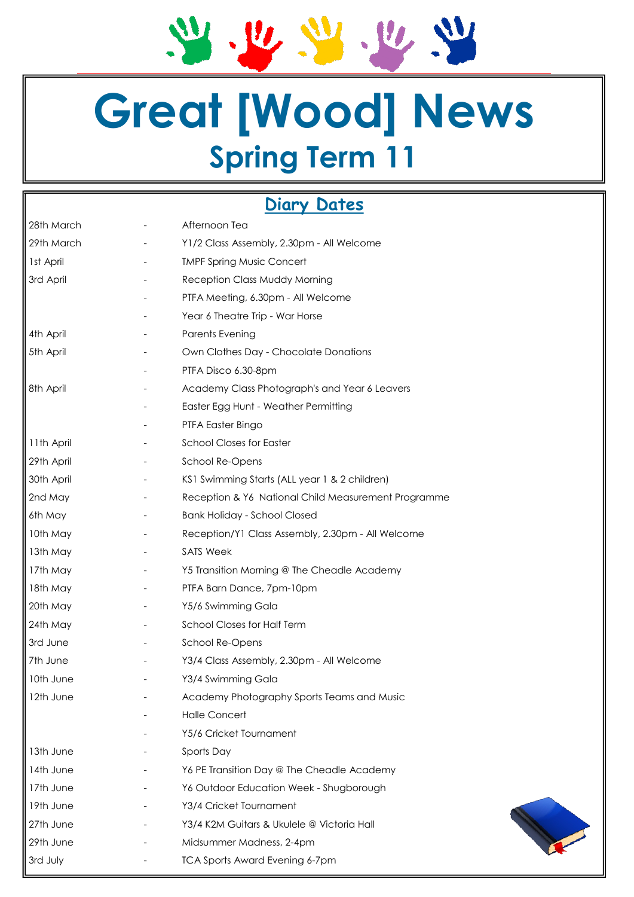2.2.2.2.2

## **Great [Wood] News Spring Term 11**

### **Diary Dates**

| 28th March | Afternoon Tea                                       |
|------------|-----------------------------------------------------|
| 29th March | Y1/2 Class Assembly, 2.30pm - All Welcome           |
| 1st April  | <b>TMPF Spring Music Concert</b>                    |
| 3rd April  | Reception Class Muddy Morning                       |
|            | PTFA Meeting, 6.30pm - All Welcome                  |
|            | Year 6 Theatre Trip - War Horse                     |
| 4th April  | <b>Parents Evening</b>                              |
| 5th April  | Own Clothes Day - Chocolate Donations               |
|            | PTFA Disco 6.30-8pm                                 |
| 8th April  | Academy Class Photograph's and Year 6 Leavers       |
|            | Easter Egg Hunt - Weather Permitting                |
|            | PTFA Easter Bingo                                   |
| 11th April | <b>School Closes for Easter</b>                     |
| 29th April | School Re-Opens                                     |
| 30th April | KS1 Swimming Starts (ALL year 1 & 2 children)       |
| 2nd May    | Reception & Y6 National Child Measurement Programme |
| 6th May    | <b>Bank Holiday - School Closed</b>                 |
| 10th May   | Reception/Y1 Class Assembly, 2.30pm - All Welcome   |
| 13th May   | <b>SATS Week</b>                                    |
| 17th May   | Y5 Transition Morning @ The Cheadle Academy         |
| 18th May   | PTFA Barn Dance, 7pm-10pm                           |
| 20th May   | Y5/6 Swimming Gala                                  |
| 24th May   | <b>School Closes for Half Term</b>                  |
| 3rd June   | School Re-Opens                                     |
| 7th June   | Y3/4 Class Assembly, 2.30pm - All Welcome           |
| 10th June  | Y3/4 Swimming Gala                                  |
| 12th June  | Academy Photography Sports Teams and Music          |
|            | <b>Halle Concert</b>                                |
|            | Y5/6 Cricket Tournament                             |
| 13th June  | Sports Day                                          |
| 14th June  | Y6 PE Transition Day @ The Cheadle Academy          |
| 17th June  | Y6 Outdoor Education Week - Shugborough             |
| 19th June  | Y3/4 Cricket Tournament                             |
| 27th June  | Y3/4 K2M Guitars & Ukulele @ Victoria Hall          |
| 29th June  | Midsummer Madness, 2-4pm                            |
| 3rd July   | <b>TCA Sports Award Evening 6-7pm</b>               |